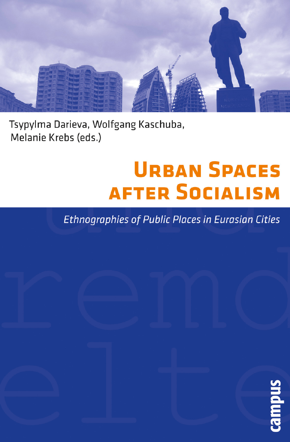

Tsypylma Darieva, Wolfgang Kaschuba, Melanie Krebs (eds.)

## **URBAN SPACES AFTER SOCIALISM**

**Ethnographies of Public Places in Eurasian Cities** 

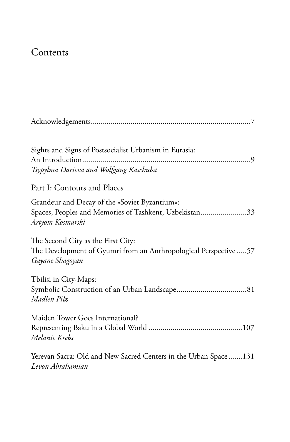## Contents

| Sights and Signs of Postsocialist Urbanism in Eurasia:<br>Tsypylma Darieva and Wolfgang Kaschuba                            |
|-----------------------------------------------------------------------------------------------------------------------------|
| Part I: Contours and Places                                                                                                 |
| Grandeur and Decay of the »Soviet Byzantium«:<br>Spaces, Peoples and Memories of Tashkent, Uzbekistan33<br>Artyom Kosmarski |
| The Second City as the First City:<br>The Development of Gyumri from an Anthropological Perspective57<br>Gayane Shagoyan    |
| Tbilisi in City-Maps:<br>Madlen Pilz                                                                                        |
| Maiden Tower Goes International?<br>Melanie Krebs                                                                           |
| Yerevan Sacra: Old and New Sacred Centers in the Urban Space131<br>Levon Abrahamian                                         |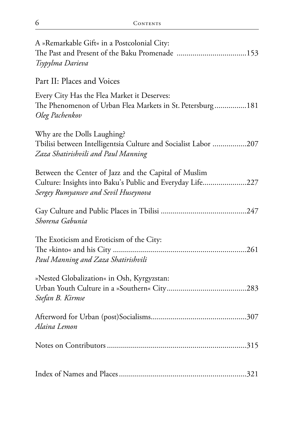| A »Remarkable Gift« in a Postcolonial City:<br>The Past and Present of the Baku Promenade 153                                                             |
|-----------------------------------------------------------------------------------------------------------------------------------------------------------|
| Tsypylma Darieva                                                                                                                                          |
| Part II: Places and Voices                                                                                                                                |
| Every City Has the Flea Market it Deserves:<br>The Phenomenon of Urban Flea Markets in St. Petersburg181<br>Oleg Pachenkov                                |
| Why are the Dolls Laughing?<br>Tbilisi between Intelligentsia Culture and Socialist Labor 207<br>Zaza Shatirishvili and Paul Manning                      |
| Between the Center of Jazz and the Capital of Muslim<br>Culture: Insights into Baku's Public and Everyday Life227<br>Sergey Rumyansev and Sevil Huseynova |
| Shorena Gabunia                                                                                                                                           |
| The Exoticism and Eroticism of the City:<br>Paul Manning and Zaza Shatirishvili                                                                           |
| »Nested Globalization« in Osh, Kyrgyzstan:<br>Stefan B. Kirmse                                                                                            |
| Alaina Lemon                                                                                                                                              |
|                                                                                                                                                           |
|                                                                                                                                                           |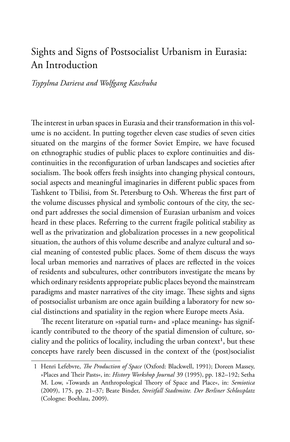## Sights and Signs of Postsocialist Urbanism in Eurasia: An Introduction

*Tsypylma Darieva and Wolfgang Kaschuba*

The interest in urban spaces in Eurasia and their transformation in this volume is no accident. In putting together eleven case studies of seven cities situated on the margins of the former Soviet Empire, we have focused on ethnographic studies of public places to explore continuities and discontinuities in the reconfiguration of urban landscapes and societies after socialism. The book offers fresh insights into changing physical contours, social aspects and meaningful imaginaries in different public spaces from Tashkent to Tbilisi, from St. Petersburg to Osh. Whereas the first part of the volume discusses physical and symbolic contours of the city, the second part addresses the social dimension of Eurasian urbanism and voices heard in these places. Referring to the current fragile political stability as well as the privatization and globalization processes in a new geopolitical situation, the authors of this volume describe and analyze cultural and social meaning of contested public places. Some of them discuss the ways local urban memories and narratives of places are reflected in the voices of residents and subcultures, other contributors investigate the means by which ordinary residents appropriate public places beyond the mainstream paradigms and master narratives of the city image. These sights and signs of postsocialist urbanism are once again building a laboratory for new social distinctions and spatiality in the region where Europe meets Asia.

The recent literature on »spatial turn« and »place meaning« has significantly contributed to the theory of the spatial dimension of culture, sociality and the politics of locality, including the urban context<sup>1</sup>, but these concepts have rarely been discussed in the context of the (post)socialist

<sup>1</sup> Henri Lefebvre, *The Production of Space* (Oxford: Blackwell, 1991); Doreen Massey, »Places and Their Pasts«, in: *History Workshop Journal* 39 (1995), pp. 182-192; Setha M. Low, »Towards an Anthropological Theory of Space and Place«, in: *Semiotica* (2009), 175, pp. 21–37; Beate Binder, *Streitfall Stadtmitte. Der Berliner Schlossplatz* (Cologne: Boehlau, 2009).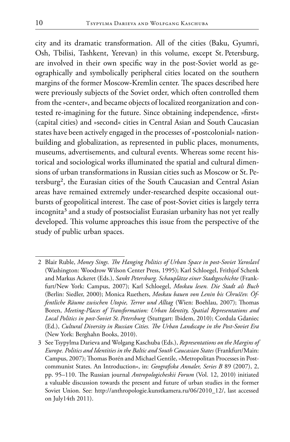city and its dramatic transformation. All of the cities (Baku, Gyumri, Osh, Tbilisi, Tashkent, Yerevan) in this volume, except St. Petersburg, are involved in their own specific way in the post-Soviet world as geographically and symbolically peripheral cities located on the southern margins of the former Moscow-Kremlin center. The spaces described here were previously subjects of the Soviet order, which often controlled them from the »center«, and became objects of localized reorganization and contested re-imagining for the future. Since obtaining independence, »first« (capital cities) and »second« cities in Central Asian and South Caucasian states have been actively engaged in the processes of »postcolonial« nationbuilding and globalization, as represented in public places, monuments, museums, advertisements, and cultural events. Whereas some recent historical and sociological works illuminated the spatial and cultural dimensions of urban transformations in Russian cities such as Moscow or St. Petersburg², the Eurasian cities of the South Caucasian and Central Asian areas have remained extremely under-researched despite occasional outbursts of geopolitical interest. The case of post-Soviet cities is largely terra incognita<sup>3</sup> and a study of postsocialist Eurasian urbanity has not yet really developed. This volume approaches this issue from the perspective of the study of public urban spaces.

<sup>2</sup> Blair Ruble, Money Sings. The Hanging Politics of Urban Space in post-Soviet Yaroslavl (Washington: Woodrow Wilson Center Press, 1995); Karl Schloegel, Frithjof Schenk and Markus Ackeret (Eds.), *Sankt Petersburg. Schauplätze einer Stadtgeschichte* (Frankfurt/New York: Campus, 2007); Karl Schloegel, *Moskau lesen. Die Stadt als Buch* (Berlin: Siedler, 2000); Monica Ruethers, *Moskau bauen von Lenin bis Chruščev. Öffentliche Räume zwischen Utopie, Terror und Alltag* (Wien: Boehlau, 2007); Thomas Boren, *Meeting-Places of Transformation: Urban Identity, Spatial Representations and Local Politics in post-Soviet St. Petersburg* (Stuttgart: Ibidem, 2010); Cordula Gdaniec (Ed.), *Cultural Diversity in Russian Cities. The Urban Landscape in the Post-Soviet Era* (New York: Berghahn Books, 2010).

<sup>3</sup> See Tsypylma Darieva and Wolgang Kaschuba (Eds.), *Representations on the Margins of Europe. Politics and Identities in the Baltic and South Caucasian States* (Frankfurt/Main: Campus, 2007); Thomas Borén and Michael Gentile, »Metropolitan Processes in Postcommunist States. An Introduction«, in: *Geografiska Annaler, Series B* 89 (2007), 2, pp. 95–110. The Russian journal *Antropologicheskii Forum* (Vol. 12, 2010) initiated a valuable discussion towards the present and future of urban studies in the former Soviet Union. See: http://anthropologie.kunstkamera.ru/06/2010\_12/, last accessed on July14th 2011).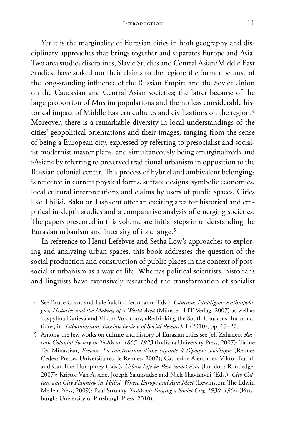Yet it is the marginality of Eurasian cities in both geography and disciplinary approaches that brings together and separates Europe and Asia. Two area studies disciplines, Slavic Studies and Central Asian/Middle East Studies, have staked out their claims to the region: the former because of the long-standing influence of the Russian Empire and the Soviet Union on the Caucasian and Central Asian societies; the latter because of the large proportion of Muslim populations and the no less considerable historical impact of Middle Eastern cultures and civilizations on the region.<sup>4</sup> Moreover, there is a remarkable diversity in local understandings of the cities' geopolitical orientations and their images, ranging from the sense of being a European city, expressed by referring to presocialist and socialist modernist master plans, and simultaneously being »marginalized« and »Asian« by referring to preserved traditional urbanism in opposition to the Russian colonial center. This process of hybrid and ambivalent belongings is reflected in current physical forms, surface designs, symbolic economies, local cultural interpretations and claims by users of public spaces. Cities like Tbilisi, Baku or Tashkent offer an exciting area for historical and empirical in-depth studies and a comparative analysis of emerging societies. The papers presented in this volume are initial steps in understanding the Eurasian urbanism and intensity of its change.<sup>5</sup>

In reference to Henri Lefebvre and Setha Low's approaches to exploring and analyzing urban spaces, this book addresses the question of the social production and construction of public places in the context of postsocialist urbanism as a way of life. Whereas political scientists, historians and linguists have extensively researched the transformation of socialist

<sup>4</sup> See Bruce Grant and Lale Yalcin-Heckmann (Eds.), *Caucasus Paradigms: Anthropologies, Histories and the Making of a World Area* (Münster: LIT Verlag, 2007) as well as Tsypylma Darieva and Viktor Voronkov, »Rethinking the South Caucasus. Introduction«, in: *Laboratorium. Russian Review of Social Research* 1 (2010), pp. 17–27.

<sup>5</sup> Among the few works on culture and history of Eurasian cities see Jeff Zahadeo, *Russian Colonial Society in Tashkent, 1865–1923* (Indiana University Press, 2007); Taline Ter Minassian, *Erevan. La construction d'une capitale à l'époque soviétique* (Rennes Cedex: Presses Universitaires de Rennes, 2007); Catherine Alexander, Viktor Buchli and Caroline Humphrey (Eds.), *Urban Life in Post-Soviet Asia* (London: Routledge, 2007); Kristof Van Assche, Jozeph Salukvadze and Nick Shavishvili (Eds.), *City Culture and City Planning in Tbilisi. Where Europe and Asia Meet* (Lewinston: The Edwin Mellen Press, 2009); Paul Stronky, *Tashkent: Forging a Soviet City, 1930–1966* (Pittsburgh: University of Pittsburgh Press, 2010).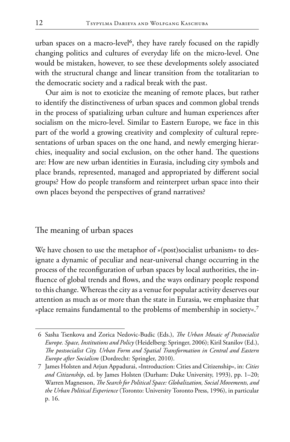urban spaces on a macro-level<sup>6</sup>, they have rarely focused on the rapidly changing politics and cultures of everyday life on the micro-level. One would be mistaken, however, to see these developments solely associated with the structural change and linear transition from the totalitarian to the democratic society and a radical break with the past.

Our aim is not to exoticize the meaning of remote places, but rather to identify the distinctiveness of urban spaces and common global trends in the process of spatializing urban culture and human experiences after socialism on the micro-level. Similar to Eastern Europe, we face in this part of the world a growing creativity and complexity of cultural representations of urban spaces on the one hand, and newly emerging hierarchies, inequality and social exclusion, on the other hand. The questions are: How are new urban identities in Eurasia, including city symbols and place brands, represented, managed and appropriated by different social groups? How do people transform and reinterpret urban space into their own places beyond the perspectives of grand narratives?

The meaning of urban spaces

We have chosen to use the metaphor of »(post)socialist urbanism« to designate a dynamic of peculiar and near-universal change occurring in the process of the reconfiguration of urban spaces by local authorities, the influence of global trends and flows, and the ways ordinary people respond to this change. Whereas the city as a venue for popular activity deserves our attention as much as or more than the state in Eurasia, we emphasize that »place remains fundamental to the problems of membership in society«.<sup>7</sup>

<sup>6</sup> Sasha Tsenkova and Zorica Nedovic-Budic (Eds.), *The Urban Mosaic of Postsocialist Europe. Space, Institutions and Policy* (Heidelberg: Springer, 2006); Kiril Stanilov (Ed.), *e postsocialist City. Urban Form and Spatial Transformation in Central and Eastern Europe after Socialism* (Dordrecht: Springler, 2010).

<sup>7</sup> James Holsten and Arjun Appadurai, »Introduction: Cities and Citizenship«, in: *Cities and Citizenship*, ed. by James Holsten (Durham: Duke University, 1993), pp. 1–20; Warren Magnesson, *The Search for Political Space: Globalization, Social Movements, and the Urban Political Experience* (Toronto: University Toronto Press, 1996), in particular p. 16.